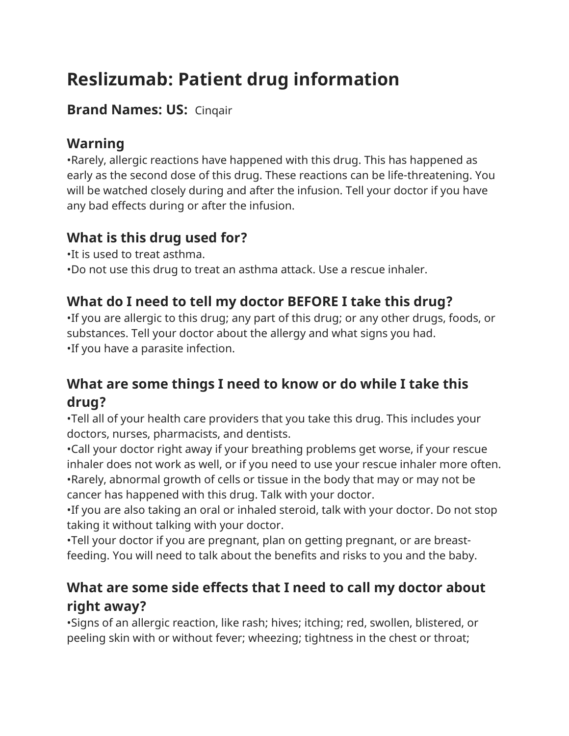# **Reslizumab: Patient drug information**

### **Brand Names: US:** Cinqair

# **Warning**

•Rarely, allergic reactions have happened with this drug. This has happened as early as the second dose of this drug. These reactions can be life-threatening. You will be watched closely during and after the infusion. Tell your doctor if you have any bad effects during or after the infusion.

# **What is this drug used for?**

•It is used to treat asthma.

•Do not use this drug to treat an asthma attack. Use a rescue inhaler.

# **What do I need to tell my doctor BEFORE I take this drug?**

•If you are allergic to this drug; any part of this drug; or any other drugs, foods, or substances. Tell your doctor about the allergy and what signs you had. •If you have a parasite infection.

# **What are some things I need to know or do while I take this drug?**

•Tell all of your health care providers that you take this drug. This includes your doctors, nurses, pharmacists, and dentists.

•Call your doctor right away if your breathing problems get worse, if your rescue inhaler does not work as well, or if you need to use your rescue inhaler more often. •Rarely, abnormal growth of cells or tissue in the body that may or may not be cancer has happened with this drug. Talk with your doctor.

•If you are also taking an oral or inhaled steroid, talk with your doctor. Do not stop taking it without talking with your doctor.

•Tell your doctor if you are pregnant, plan on getting pregnant, or are breastfeeding. You will need to talk about the benefits and risks to you and the baby.

# **What are some side effects that I need to call my doctor about right away?**

•Signs of an allergic reaction, like rash; hives; itching; red, swollen, blistered, or peeling skin with or without fever; wheezing; tightness in the chest or throat;